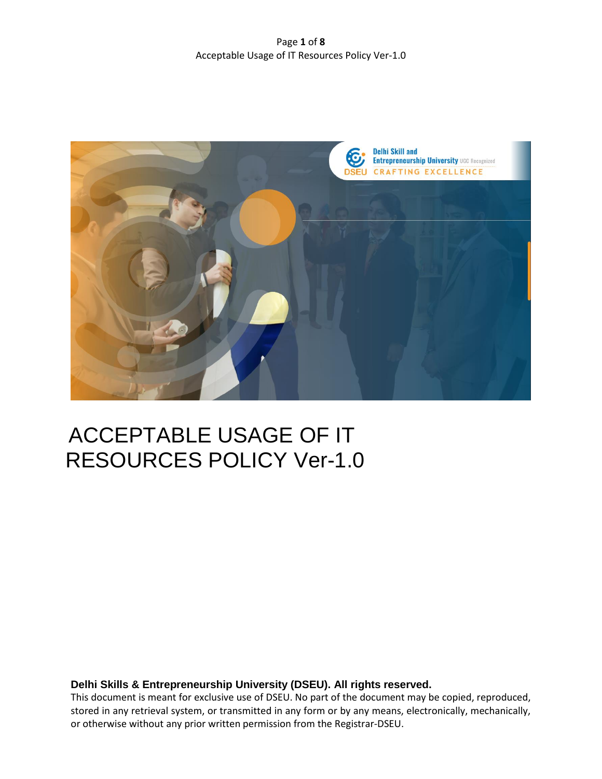Page **1** of **8** Acceptable Usage of IT Resources Policy Ver-1.0



# ACCEPTABLE USAGE OF IT RESOURCES POLICY Ver-1.0

**Delhi Skills & Entrepreneurship University (DSEU). All rights reserved.**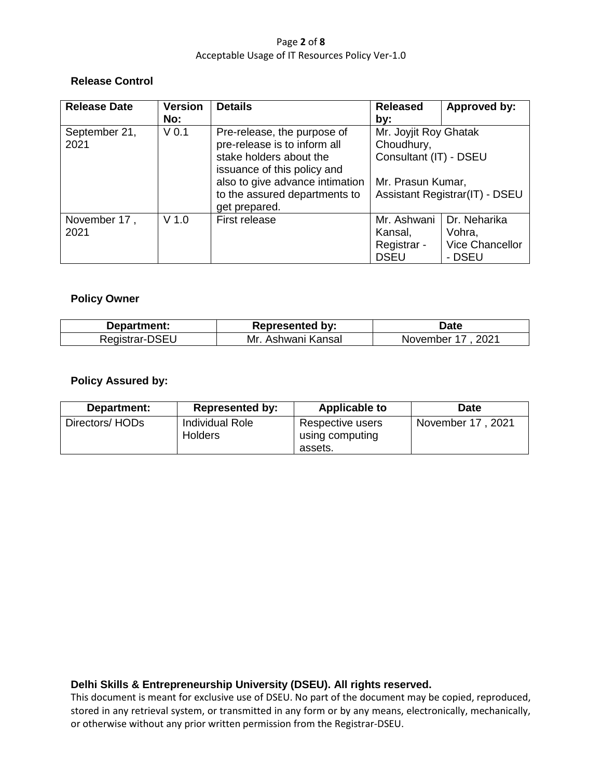## Page **2** of **8** Acceptable Usage of IT Resources Policy Ver-1.0

## **Release Control**

| <b>Release Date</b> | <b>Version</b>   | <b>Details</b>                  | <b>Released</b>                                               | Approved by:                          |
|---------------------|------------------|---------------------------------|---------------------------------------------------------------|---------------------------------------|
|                     | No:              |                                 | by:                                                           |                                       |
| September 21,       | V <sub>0.1</sub> | Pre-release, the purpose of     | Mr. Joyjit Roy Ghatak<br>Choudhury,<br>Consultant (IT) - DSEU |                                       |
| 2021                |                  | pre-release is to inform all    |                                                               |                                       |
|                     |                  | stake holders about the         |                                                               |                                       |
|                     |                  | issuance of this policy and     |                                                               |                                       |
|                     |                  | also to give advance intimation | Mr. Prasun Kumar,                                             |                                       |
|                     |                  | to the assured departments to   |                                                               | <b>Assistant Registrar(IT) - DSEU</b> |
|                     |                  | get prepared.                   |                                                               |                                       |
| November 17,        | $V$ 1.0          | First release                   | Mr. Ashwani                                                   | Dr. Neharika                          |
| 2021                |                  |                                 | Kansal,                                                       | Vohra,                                |
|                     |                  |                                 | Registrar -                                                   | <b>Vice Chancellor</b>                |
|                     |                  |                                 | <b>DSEU</b>                                                   | - DSEU                                |

# **Policy Owner**

| Department:    | <b>Represented by:</b> | <b>Date</b>      |
|----------------|------------------------|------------------|
| Registrar-DSEU | Mr.<br>Ashwani Kansal  | 2021<br>November |

# **Policy Assured by:**

| Department:    | <b>Represented by:</b>                   | <b>Applicable to</b>                           | <b>Date</b>         |
|----------------|------------------------------------------|------------------------------------------------|---------------------|
| Directors/HODs | <b>Individual Role</b><br><b>Holders</b> | Respective users<br>using computing<br>assets. | 2021<br>November 17 |

# **Delhi Skills & Entrepreneurship University (DSEU). All rights reserved.**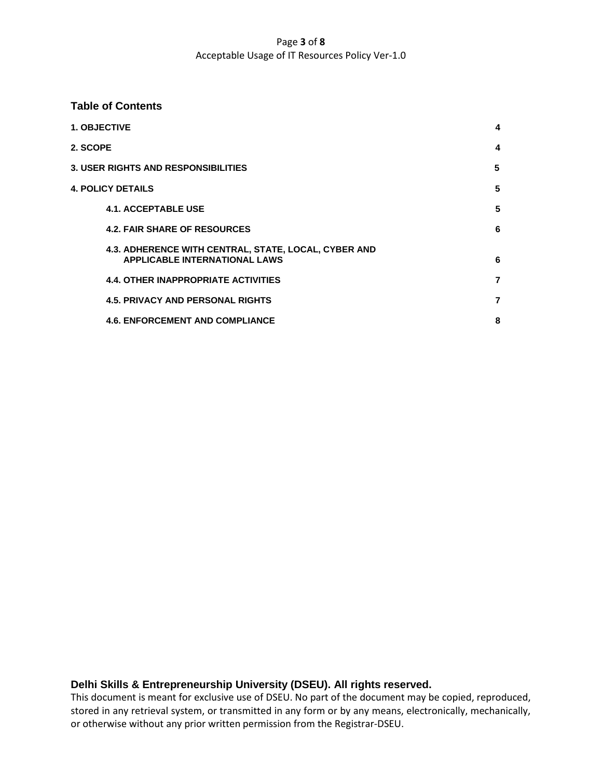## Page **3** of **8** Acceptable Usage of IT Resources Policy Ver-1.0

## **Table of Contents**

|                                            | <b>1. OBJECTIVE</b>                                                                          | 4 |  |
|--------------------------------------------|----------------------------------------------------------------------------------------------|---|--|
| 2. SCOPE                                   |                                                                                              | 4 |  |
| <b>3. USER RIGHTS AND RESPONSIBILITIES</b> |                                                                                              |   |  |
|                                            | <b>4. POLICY DETAILS</b>                                                                     | 5 |  |
|                                            | <b>4.1. ACCEPTABLE USE</b>                                                                   | 5 |  |
|                                            | <b>4.2. FAIR SHARE OF RESOURCES</b>                                                          | 6 |  |
|                                            | 4.3. ADHERENCE WITH CENTRAL, STATE, LOCAL, CYBER AND<br><b>APPLICABLE INTERNATIONAL LAWS</b> | 6 |  |
|                                            | <b>4.4. OTHER INAPPROPRIATE ACTIVITIES</b>                                                   | 7 |  |
|                                            | <b>4.5. PRIVACY AND PERSONAL RIGHTS</b>                                                      | 7 |  |
|                                            | <b>4.6. ENFORCEMENT AND COMPLIANCE</b>                                                       | 8 |  |

# **Delhi Skills & Entrepreneurship University (DSEU). All rights reserved.**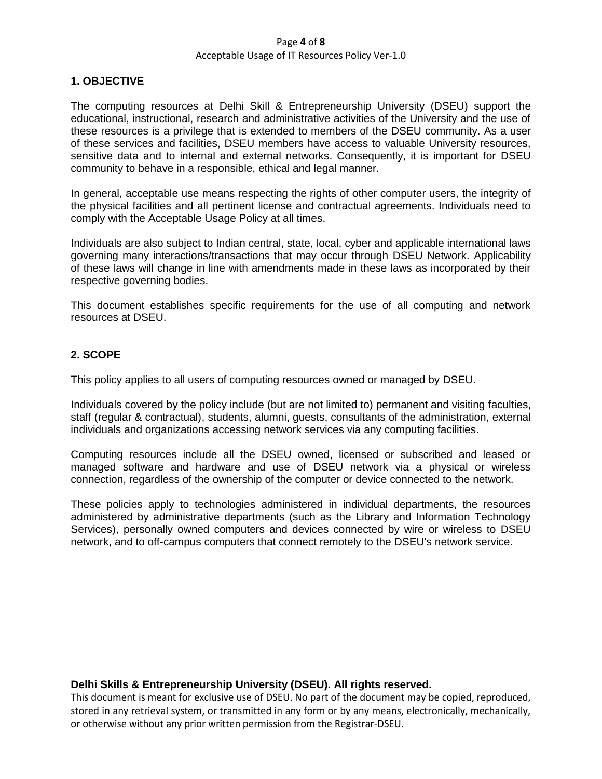#### Page **4** of **8** Acceptable Usage of IT Resources Policy Ver-1.0

## **1. OBJECTIVE**

The computing resources at Delhi Skill & Entrepreneurship University (DSEU) support the educational, instructional, research and administrative activities of the University and the use of these resources is a privilege that is extended to members of the DSEU community. As a user of these services and facilities, DSEU members have access to valuable University resources, sensitive data and to internal and external networks. Consequently, it is important for DSEU community to behave in a responsible, ethical and legal manner.

In general, acceptable use means respecting the rights of other computer users, the integrity of the physical facilities and all pertinent license and contractual agreements. Individuals need to comply with the Acceptable Usage Policy at all times.

Individuals are also subject to Indian central, state, local, cyber and applicable international laws governing many interactions/transactions that may occur through DSEU Network. Applicability of these laws will change in line with amendments made in these laws as incorporated by their respective governing bodies.

This document establishes specific requirements for the use of all computing and network resources at DSEU.

# **2. SCOPE**

This policy applies to all users of computing resources owned or managed by DSEU.

Individuals covered by the policy include (but are not limited to) permanent and visiting faculties, staff (regular & contractual), students, alumni, guests, consultants of the administration, external individuals and organizations accessing network services via any computing facilities.

Computing resources include all the DSEU owned, licensed or subscribed and leased or managed software and hardware and use of DSEU network via a physical or wireless connection, regardless of the ownership of the computer or device connected to the network.

These policies apply to technologies administered in individual departments, the resources administered by administrative departments (such as the Library and Information Technology Services), personally owned computers and devices connected by wire or wireless to DSEU network, and to off-campus computers that connect remotely to the DSEU's network service.

## **Delhi Skills & Entrepreneurship University (DSEU). All rights reserved.**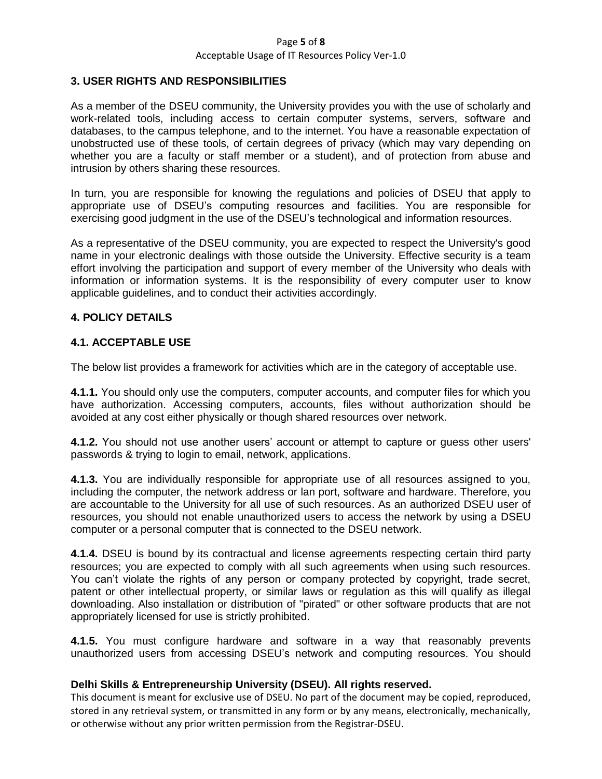#### Page **5** of **8** Acceptable Usage of IT Resources Policy Ver-1.0

# **3. USER RIGHTS AND RESPONSIBILITIES**

As a member of the DSEU community, the University provides you with the use of scholarly and work-related tools, including access to certain computer systems, servers, software and databases, to the campus telephone, and to the internet. You have a reasonable expectation of unobstructed use of these tools, of certain degrees of privacy (which may vary depending on whether you are a faculty or staff member or a student), and of protection from abuse and intrusion by others sharing these resources.

In turn, you are responsible for knowing the regulations and policies of DSEU that apply to appropriate use of DSEU's computing resources and facilities. You are responsible for exercising good judgment in the use of the DSEU's technological and information resources.

As a representative of the DSEU community, you are expected to respect the University's good name in your electronic dealings with those outside the University. Effective security is a team effort involving the participation and support of every member of the University who deals with information or information systems. It is the responsibility of every computer user to know applicable guidelines, and to conduct their activities accordingly.

## **4. POLICY DETAILS**

## **4.1. ACCEPTABLE USE**

The below list provides a framework for activities which are in the category of acceptable use.

**4.1.1.** You should only use the computers, computer accounts, and computer files for which you have authorization. Accessing computers, accounts, files without authorization should be avoided at any cost either physically or though shared resources over network.

**4.1.2.** You should not use another users' account or attempt to capture or guess other users' passwords & trying to login to email, network, applications.

**4.1.3.** You are individually responsible for appropriate use of all resources assigned to you, including the computer, the network address or lan port, software and hardware. Therefore, you are accountable to the University for all use of such resources. As an authorized DSEU user of resources, you should not enable unauthorized users to access the network by using a DSEU computer or a personal computer that is connected to the DSEU network.

**4.1.4.** DSEU is bound by its contractual and license agreements respecting certain third party resources; you are expected to comply with all such agreements when using such resources. You can't violate the rights of any person or company protected by copyright, trade secret, patent or other intellectual property, or similar laws or regulation as this will qualify as illegal downloading. Also installation or distribution of "pirated" or other software products that are not appropriately licensed for use is strictly prohibited.

**4.1.5.** You must configure hardware and software in a way that reasonably prevents unauthorized users from accessing DSEU's network and computing resources. You should

# **Delhi Skills & Entrepreneurship University (DSEU). All rights reserved.**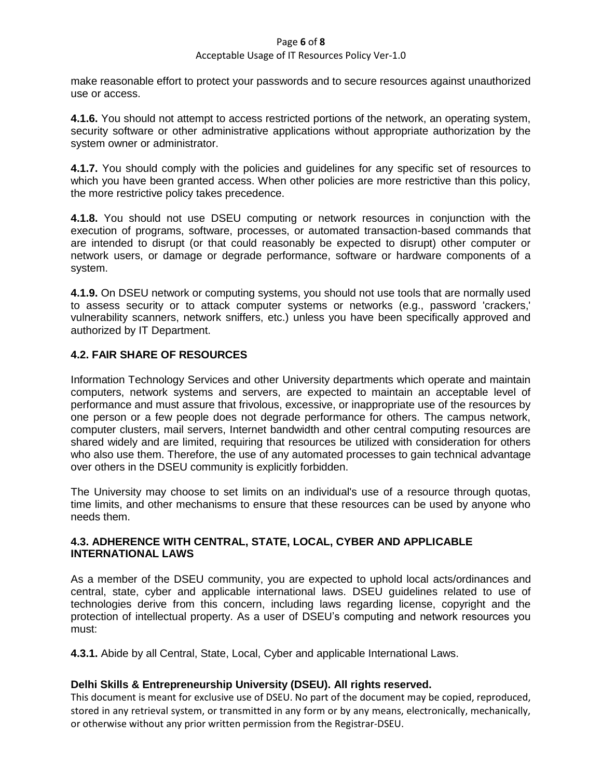#### Page **6** of **8**

## Acceptable Usage of IT Resources Policy Ver-1.0

make reasonable effort to protect your passwords and to secure resources against unauthorized use or access.

**4.1.6.** You should not attempt to access restricted portions of the network, an operating system, security software or other administrative applications without appropriate authorization by the system owner or administrator.

**4.1.7.** You should comply with the policies and guidelines for any specific set of resources to which you have been granted access. When other policies are more restrictive than this policy, the more restrictive policy takes precedence.

**4.1.8.** You should not use DSEU computing or network resources in conjunction with the execution of programs, software, processes, or automated transaction-based commands that are intended to disrupt (or that could reasonably be expected to disrupt) other computer or network users, or damage or degrade performance, software or hardware components of a system.

**4.1.9.** On DSEU network or computing systems, you should not use tools that are normally used to assess security or to attack computer systems or networks (e.g., password 'crackers,' vulnerability scanners, network sniffers, etc.) unless you have been specifically approved and authorized by IT Department.

# **4.2. FAIR SHARE OF RESOURCES**

Information Technology Services and other University departments which operate and maintain computers, network systems and servers, are expected to maintain an acceptable level of performance and must assure that frivolous, excessive, or inappropriate use of the resources by one person or a few people does not degrade performance for others. The campus network, computer clusters, mail servers, Internet bandwidth and other central computing resources are shared widely and are limited, requiring that resources be utilized with consideration for others who also use them. Therefore, the use of any automated processes to gain technical advantage over others in the DSEU community is explicitly forbidden.

The University may choose to set limits on an individual's use of a resource through quotas, time limits, and other mechanisms to ensure that these resources can be used by anyone who needs them.

# **4.3. ADHERENCE WITH CENTRAL, STATE, LOCAL, CYBER AND APPLICABLE INTERNATIONAL LAWS**

As a member of the DSEU community, you are expected to uphold local acts/ordinances and central, state, cyber and applicable international laws. DSEU guidelines related to use of technologies derive from this concern, including laws regarding license, copyright and the protection of intellectual property. As a user of DSEU's computing and network resources you must:

**4.3.1.** Abide by all Central, State, Local, Cyber and applicable International Laws.

# **Delhi Skills & Entrepreneurship University (DSEU). All rights reserved.**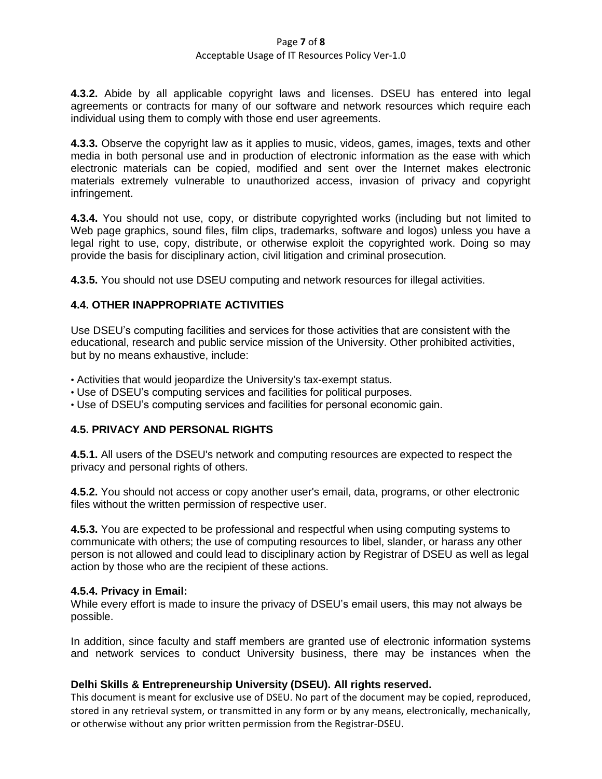## Page **7** of **8**

## Acceptable Usage of IT Resources Policy Ver-1.0

**4.3.2.** Abide by all applicable copyright laws and licenses. DSEU has entered into legal agreements or contracts for many of our software and network resources which require each individual using them to comply with those end user agreements.

**4.3.3.** Observe the copyright law as it applies to music, videos, games, images, texts and other media in both personal use and in production of electronic information as the ease with which electronic materials can be copied, modified and sent over the Internet makes electronic materials extremely vulnerable to unauthorized access, invasion of privacy and copyright infringement.

**4.3.4.** You should not use, copy, or distribute copyrighted works (including but not limited to Web page graphics, sound files, film clips, trademarks, software and logos) unless you have a legal right to use, copy, distribute, or otherwise exploit the copyrighted work. Doing so may provide the basis for disciplinary action, civil litigation and criminal prosecution.

**4.3.5.** You should not use DSEU computing and network resources for illegal activities.

# **4.4. OTHER INAPPROPRIATE ACTIVITIES**

Use DSEU's computing facilities and services for those activities that are consistent with the educational, research and public service mission of the University. Other prohibited activities, but by no means exhaustive, include:

- Activities that would jeopardize the University's tax-exempt status.
- Use of DSEU's computing services and facilities for political purposes.
- Use of DSEU's computing services and facilities for personal economic gain.

# **4.5. PRIVACY AND PERSONAL RIGHTS**

**4.5.1.** All users of the DSEU's network and computing resources are expected to respect the privacy and personal rights of others.

**4.5.2.** You should not access or copy another user's email, data, programs, or other electronic files without the written permission of respective user.

**4.5.3.** You are expected to be professional and respectful when using computing systems to communicate with others; the use of computing resources to libel, slander, or harass any other person is not allowed and could lead to disciplinary action by Registrar of DSEU as well as legal action by those who are the recipient of these actions.

## **4.5.4. Privacy in Email:**

While every effort is made to insure the privacy of DSEU's email users, this may not always be possible.

In addition, since faculty and staff members are granted use of electronic information systems and network services to conduct University business, there may be instances when the

# **Delhi Skills & Entrepreneurship University (DSEU). All rights reserved.**